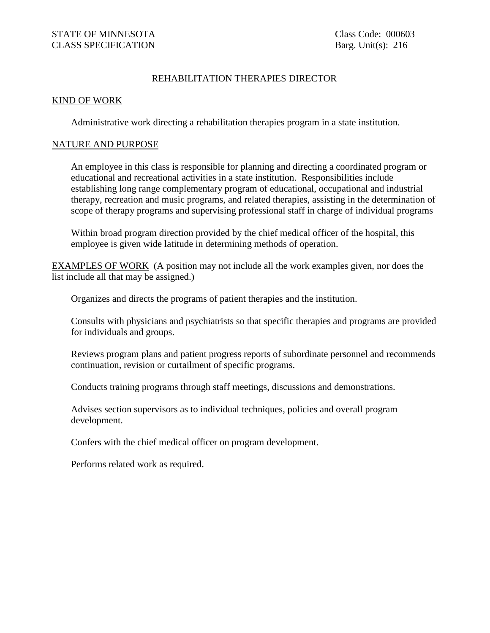## REHABILITATION THERAPIES DIRECTOR

## KIND OF WORK

Administrative work directing a rehabilitation therapies program in a state institution.

## NATURE AND PURPOSE

An employee in this class is responsible for planning and directing a coordinated program or educational and recreational activities in a state institution. Responsibilities include establishing long range complementary program of educational, occupational and industrial therapy, recreation and music programs, and related therapies, assisting in the determination of scope of therapy programs and supervising professional staff in charge of individual programs

Within broad program direction provided by the chief medical officer of the hospital, this employee is given wide latitude in determining methods of operation.

EXAMPLES OF WORK (A position may not include all the work examples given, nor does the list include all that may be assigned.)

Organizes and directs the programs of patient therapies and the institution.

Consults with physicians and psychiatrists so that specific therapies and programs are provided for individuals and groups.

Reviews program plans and patient progress reports of subordinate personnel and recommends continuation, revision or curtailment of specific programs.

Conducts training programs through staff meetings, discussions and demonstrations.

Advises section supervisors as to individual techniques, policies and overall program development.

Confers with the chief medical officer on program development.

Performs related work as required.